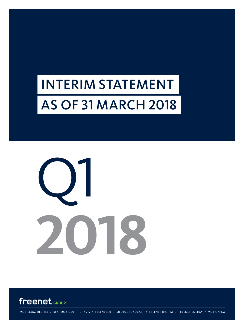# INTERIM STATEMENT AS OF 31 MARCH 2018





MOBILCOM-DEBITEL / KLARMOBIL.DE / GRAVIS / FREENET.DE / MEDIA BROADCAST / FREENET DIGITAL / FREENET ENERGY / MOTION TM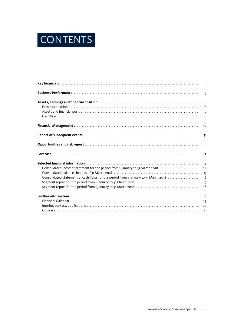

|                                                                                                                | $\overline{3}$ |
|----------------------------------------------------------------------------------------------------------------|----------------|
|                                                                                                                | 5              |
|                                                                                                                | 6              |
|                                                                                                                | 6              |
|                                                                                                                | $\overline{7}$ |
|                                                                                                                | 8              |
|                                                                                                                | 10             |
|                                                                                                                | 131            |
|                                                                                                                | 11             |
|                                                                                                                | 12             |
| Selected financial information with contained and contained and selected financial information with the select | 14             |
| Consolidated income statement for the period from 1 January to 31 March 2018                                   | 14             |
|                                                                                                                | 15             |
|                                                                                                                | 16             |
|                                                                                                                | 17             |
|                                                                                                                | 18             |
|                                                                                                                | 19             |
|                                                                                                                | 19             |
|                                                                                                                | 20             |
|                                                                                                                | 21             |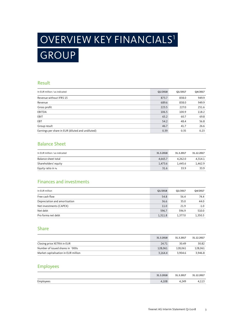# OVERVIEW KEY FINANCIALS1 GROUP

#### Result

| In EUR million / as indicated                     | Q1/2018 | Q1/2017 | Q4/2017 |
|---------------------------------------------------|---------|---------|---------|
| Revenue without IFRS 15                           | 873.7   | 838.0   | 949.9   |
| Revenue                                           | 689.6   | 838.0   | 949.9   |
| Gross profit                                      | 223.5   | 227.0   | 251.6   |
| EBITDA                                            | 106.5   | 100.9   | 118.2   |
| EBIT                                              | 65.2    | 60.7    | 69.8    |
| EBT                                               | 54.2    | 48.4    | 56.8    |
| Group result                                      | 46.7    | 41.7    | 26.6    |
| Earnings per share in EUR (diluted and undiluted) | 0.39    | 0.35    | 0.23    |

### Balance Sheet

| In EUR million / as indicated | 31.3.2018 | 31.3.2017 | 31.12.2017 |
|-------------------------------|-----------|-----------|------------|
| Balance sheet total           | 4.665.7   | 4.262.0   | 4.314.1    |
| Shareholders' equity          | 1.473.6   | 1.445.6   | 1.462.9    |
| Equity ratio in %             | 31.6      | 33.9      | 33.9       |

## Finances and investments

| In EUR million                | Q1/2018 | Q1/2017 | Q4/2017 |
|-------------------------------|---------|---------|---------|
| Free cash flow                | 54.8    | 56.4    | 74.4    |
| Depreciation and amortisation | 36.6    | 35.0    | 44.0    |
| Net investments (CAPEX)       | 11.0    | 21.9    | $-1.0$  |
| Net debt                      | 596.7   | 596.9   | 510.0   |
| Pro forma net debt            | 1,311.8 | 1.377.0 | 1,350.3 |

#### Share

|                                      | 31.3.2018 | 31.3.2017 | 31.12.2017 |
|--------------------------------------|-----------|-----------|------------|
| Closing price XETRA in EUR           | 24.71     | 30.49     | 30.82      |
| Number of issued shares in `000s     | 128,061   | 128.061   | 128.061    |
| Market capitalisation in EUR million | 3.164.4   | 3.904.6   | 3.946.8    |

### Employees

|           | 31.3.2018 | 31.3.2017 | .2.2017<br>21 |
|-----------|-----------|-----------|---------------|
| Employees | 4,108     | 4.249     | .             |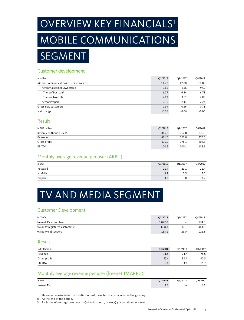# OVERVIEW KEY FINANCIALS<sup>1</sup> MOBILE COMMUNICATIONS

SEGMENT

### Customer development

| In million                                         | Q1/2018 | Q1/2017 | Q4/2017 |
|----------------------------------------------------|---------|---------|---------|
| Mobile Communications customers/cards <sup>2</sup> | 11.77   | 12.00   | 11.83   |
| Thereof Customer Ownership                         | 9.60    | 9.56    | 9.59    |
| Thereof Postpaid                                   | 6.77    | 6.54    | 6.71    |
| Thereof No-frills                                  | 2.83    | 3.02    | 2.88    |
| Thereof Prepaid                                    | 2.16    | 2.44    | 2.24    |
| Gross new customers                                | 0.59    | 0.66    | 0.71    |
| Net change                                         | $-0.06$ | $-0.06$ | $-0.05$ |

#### Result

| In EUR million          | Q1/2018 | Q1/2017 | Q4/2017 |
|-------------------------|---------|---------|---------|
| Revenue without IFRS 15 | 805.0   | 762.8   | 875.3   |
| Revenue                 | 621.0   | 762.8   | 875.3   |
| Gross profit            | 179.0   | 178.1   | 202.6   |
| EBITDA                  | 100.2   | 100.1   | 108.1   |

### Monthly average revenue per user (ARPU)

| In EUR<br>$\frac{1}{2}$ | Q1/2018 | Q1/2017 | Q4/2017 |
|-------------------------|---------|---------|---------|
| Postpaid                | 21.4    | 21.1    | 21.4    |
| No-frills               | 3.2     | 2.5     | 3.0     |
| Prepaid                 | 3.2     | 3.0     | 3.2     |

## TV AND MEDIA SEGMENT

## Customer Development

| In `000s                                   | 01/2018 | O1/2017 | O4/2017 |
|--------------------------------------------|---------|---------|---------|
| freenet TV subscribers                     | 1.022.0 | -       | 974.6   |
| waipu.tv registered customers <sup>3</sup> | 608.8   | 147.1   | 463.6   |
| waipu.tv subscribers                       | 133.1   | 25.0    | 102.3   |

#### Result

| In EUR million | Q1/2018 | Q1/2017 | Q4/2017 |
|----------------|---------|---------|---------|
| Revenue        | 71.5    | 74.7    | 75.6    |
| Gross profit   | 37.4    | 38.4    | 40.5    |
| EBITDA         | 7.8     | 3.3     | 15.7    |
|                |         |         |         |

## Monthly average revenue per user (freenet TV ARPU)

| In EUR     | Q1/2018 | Q1/2017                  | Q4/2017 |
|------------|---------|--------------------------|---------|
| freenet TV | 4.V     | $\overline{\phantom{a}}$ | 4.      |

1 Unless otherwise identified, definitions of these terms are included in the glossary.

2 At the end of the period.

3 Exclusive of pre-registered users (Q1/2018: about 71,000, Q4/2017: about 76,000).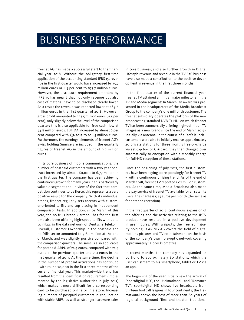## BUSINESS PERFORMANCE

freenet AG has made a successful start to the financial year 2018. Without the obligatory first-time application of the accounting standard IFRS 15, revenue in the first quarter would have increased by 35.7 million euros or 4.3 per cent to 873.7 million euros. However, the disclosure requirement amended by IFRS 15 has meant that not only revenue but also cost of material have to be disclosed clearly lower. As a result the revenue was reported lower at 689.6 million euros in the first quarter of 2018. However, gross profit amounted to 223.5 million euros (-1.5 per cent), only slightly below the level of the comparison quarter; this is also applicable for free cash flow at 54.8 million euros. EBITDA increased by almost 6 per cent compared with Q1/2017 to 106.5 million euros. Furthermore, the earnings elements of freenet AG's Swiss holding Sunrise are included in the quarterly figures of freenet AG in the amount of 9.9 million euros.

In its core business of mobile communications, the number of postpaid customers with a two-year contract increased by almost 60,000 to 6.77 million in the first quarter. The company has been achieving continuous growth for many years in this particularly valuable segment and, in view of the fact that competition continues to be fierce, this represents a very positive result for the company. With its individual brands, freenet regularly sets accents with customer-oriented tariffs and top placing in independent comparison tests. In addition, since March of this year, the no-frills brand klarmobil has for the first time also been offering high-speed tariffs with up to 50 mbps in the data network of Deutsche Telekom. Overall, Customer Ownership in the postpaid and no-frills sector amounted to 9.60 million at the end of March, and was slightly positive compared with the comparison quarters. The same is also applicable for postpaid-ARPU of 21.4 euros, compared with 21.4 euros in the previous quarter and 21.1 euros in the first quarter of 2017. At the same time, the decline in the number of prepaid activations has continued - with round 70,000 in the first three months of the current financial year. This market-wide trend has resulted from the identification requirement (implemented by the legislative authorities in July 2017) which makes it more difficult for a corresponding card to be purchased online or in a store. Increasing numbers of postpaid customers in conjunction with stable ARPU as well as stronger hardware sales

in core business, and also further growth in Digital Lifestyle revenue and revenue in the TV B2C business have also made a contribution to the positive development in revenue in the first three months.

In the first quarter of the current financial year, freenet TV attained an initial major milestone in the TV and Media segment: In March, an award was presented in the headquarters of the Media Broadcast Group to the company's one millionth customer. The freenet subsidiary operates the platform of the new broadcasting standard DVB-T2 HD, on which freenet TV has been commercially offering high-definition TV images as a new brand since the end of March 2017 initially via antenna. In the course of a ´soft launch`, customers were able to initially receive approximately 20 private stations for three months free-of-charge via set-top box or CI+ card; they then changed over automatically to encryption with a monthly charge for full-HD reception of these stations.

Since the beginning of July 2017, the first customers have been paying correspondingly for freenet TV – with a continuously rising trend. As of the end of March 2018, freenet TV reported 1.02 million customers. At the same time, Media Broadcast also made the pay service of freenet TV available for all satellite users; the charge is 5.75 euros per month (the same as for antenna reception).

In the first quarter of 2018, continuous expansion of the offering and the activities relating to the IPTV product have resulted in a positive development in user figures. With waipu.tv, the freenet majority holding EXARING AG covers the field of digital motions pictures and TV entertainment on the basis of the company's own fibre-optic network covering approximately 12,000 kilometres.

In recent months, the company has expanded its portfolio to approximately 80 stations, which the user can stream to his smartphone, tablet or TV via an app.

The beginning of the year initially saw the arrival of ´sportdigital HD`, the ´Heimatkanal` and ´Romance TV`: sportdigital HD shows live broadcasts from thirteen football leagues in four continents; the Heimatkanal shows the best of more than 80 years of regional background films and theater, traditional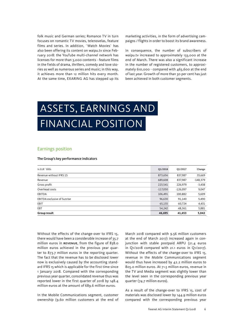folk music and German series; Romance TV in turn focuses on romantic TV movies, telenovelas, feature films and series. In addition, ´Watch Movies` has also been offering its content on waipu.tv since February 2018: the YouTube multi-channel network has licenses for more than 3,000 contents - feature films in the fields of drama, thrillers, comedy and love stories as well as numerous series and music; in this way, it achieves more than 12 million hits every month. At the same time, EXARING AG has stepped up its

marketing activities, in the form of advertising campaigns / flights in order to boost its brand awareness.

In consequence, the number of subscribers of waipu.tv increased to approximately 133,000 at the end of March. There was also a significant increase in the number of registered customers, to approximately 610,000 - compared with 463,600 at the end of last year. Growth of more than 30 per cent has just been achieved in both customer segments.

# ASSETS, EARNINGS AND FINANCIAL POSITION

#### Earnings position

#### The Group's key performance indicators

| In EUR `000s                       | Q1/2018    | Q1/2017    | Change     |
|------------------------------------|------------|------------|------------|
| Revenue without IFRS 15            | 873,656    | 837,987    | 35,669     |
| Revenue                            | 689,608    | 837,987    | $-148,379$ |
| Gross profit                       | 223,541    | 226,979    | $-3,438$   |
| Overhead costs                     | $-117,050$ | $-126,097$ | 9,047      |
| EBITDA                             | 106,491    | 100,882    | 5,609      |
| <b>EBITDA exclusive of Sunrise</b> | 96,630     | 91,140     | 5,490      |
| EBIT                               | 65,155     | 60,724     | 4,431      |
| EBT                                | 54,242     | 48,361     | 5,881      |
| Group result                       | 46,695     | 41,653     | 5,042      |

Without the effects of the change-over to IFRS 15, there would have been a considerable increase of 35.7 million euros in REVENUE, from the figure of 838.0 million euros achieved in the previous year quarter to 873.7 million euros in the reporting quarter. The fact that the revenue has to be disclosed lower now is exclusively caused by the accounting standard IFRS 15 which is applicable for the first time since 1 January 2018. Compared with the corresponding previous year quarter, consolidated revenue thus was reported lower in the first quarter of 2018 by 148.4 million euros at the amount of 689.6 million euros.

In the Mobile Communications segment, customer ownership (9.60 million customers at the end of March 2018 compared with 9.56 million customers at the end of March 2017) increased again in conjunction with stable postpaid ARPU (21.4 euros in Q1/2018 compared with 21.1 euros in Q1/2017). Without the effects of the change-over to IFRS 15, revenue in the Mobile Communications segment would thus have increased by 42.2 million euros to 805.0 million euros. At 71.5 million euros, revenue in the TV and Media segment was slightly lower than the level seen in the corresponding previous year quarter (74.7 million euros).

As a result of the change-over to IFRS 15, cost of materials was disclosed lower by 144.9 million euros compared with the corresponding previous year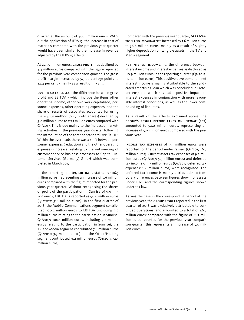quarter, at the amount of 466.1 million euros. Without the application of IFRS 15, the increase in cost of materials compared with the previous year quarter would have been similar to the increase in revenue adjusted by the IFRS 15 effects.

At 223.5 million euros, GROSS PROFIT has declined by 3.4 million euros compared with the figure reported for the previous year comparison quarter. The gross profit margin increased by 5.3 percentage points to 32.4 per cent - mainly as a result of IFRS 15.

Overhead expenses - the difference between gross profit and EBITDA - which include the items other operating income, other own work capitalised, personnel expenses, other operating expenses, and the share of results of associates accounted for using the equity method (only profit shares) declined by 9.0 million euros to 117.1 million euros compared with Q1/2017. This is due mainly to the increased marketing activities in the previous year quarter following the introduction of the antenna standard DVB-T2 HD. Within the overheads there was a shift between personnel expenses (reduction) and the other operating expenses (increase) relating to the outsourcing of customer service business processes to Capita Customer Services (Germany) GmbH which was completed in March 2017.

In the reporting quarter, EBITDA is stated as 106.5 million euros, representing an increase of 5.6 million euros compared with the figure reported for the previous year quarter. Without recognising the shares of profit of the participation in Sunrise of 9.9 million euros, EBITDA is reported as 96.6 million euros (Q1/2017: 91.1 million euros). In the first quarter of 2018, the Mobile Communications segment contributed 100.2 million euros to EBITDA (including 9.9 million euros relating to the participation in Sunrise; Q1/2017: 100.1 million euros, including 9.7 million euros relating to the participation in Sunrise); the TV and Media segment contributed 7.8 million euros (Q1/2017: 3.3 million euros) and the Other/Holding segment contributed -1.4 million euros (Q1/2017: -2.5 million euros).

Compared with the previous year quarter, DEPRECIAtion and impairments increased by 1.6 million euros to 36.6 million euros, mainly as a result of slightly higher depreciation on tangible assets in the TV and Media segment.

Net interest income, i.e. the difference between interest income and interest expenses, is disclosed as -10.9 million euros in the reporting quarter (Q1/2017: -12.4 million euros). This positive development in net interest income is mainly attributable to the syndicated amortising loan which was concluded in October 2017 and which has had a positive impact on interest expenses in conjunction with more favourable interest conditions, as well as the lower compounding of liabilities.

As a result of the effects explained above, the Group's result before taxes on income (EBT) amounted to 54.2 million euros, representing an increase of 5.9 million euros compared with the previous year.

Income tax expenses of 7.5 million euros were reported for the period under review (Q1/2017: 6.7 million euros). Current assets tax expenses of 9.2 million euros (Q1/2017: 5.3 million euros) and deferred tax income of 1.7 million euros (Q1/2017 deferred tax expenses: 1.4 million euros) were recognised. The deferred tax income is mainly attributable to temporary differences between figures shown for assets under IFRS and the corresponding figures shown under tax law.

As was the case in the corresponding period of the previous year, the GROUP RESULT reported in the first quarter of 2018 was exclusively attributable to continued operations, and amounted to a total of 46.7 million euros; compared with the figure of 41.7 million euros reported for the previous year comparison quarter, this represents an increase of 5.0 million euros.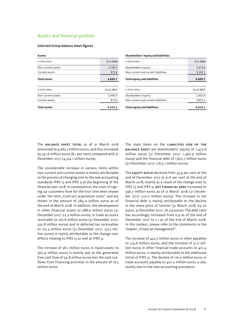#### Assets and financial position

#### Selected Group balance sheet figures

| Assets              |            |
|---------------------|------------|
| In EUR million      | 31.3.2018  |
| Non-current assets  | 3,790.3    |
| Current assets      | 875.4      |
| <b>Total assets</b> | 4,665.7    |
|                     |            |
| In EUR million      | 31.12.2017 |
| Non-current assets  | 3,440.3    |
| Current assets      | 873.9      |
| <b>Total assets</b> | 4,314.1    |

#### **Shareholders' equity and liabilities**

| <b>Total equity and liabilities</b> | 4.314.1    |
|-------------------------------------|------------|
| Non-current and current liabilities | 2,851.2    |
| Shareholders' equity                | 1.462.9    |
| In EUR million                      | 31.12.2017 |
| Total equity and liabilities        | 4,665.7    |
| Non-current and current liabilities | 3,192.1    |
| Shareholders' equity                | 1,473.6    |
| In FUR million                      | 31.3.2018  |

The **BALANCE SHEET TOTAL** as of 31 March 2018 amounted to 4,665.7 million euros, and thus increased by 351.6 million euros (8.1 per cent) compared with 31 December 2017 (4,314.1 million euros).

The considerable increase in various items within non-current and current assets is mainly attributable to the process of changing over to the new accounting standards IFRS 15 and IFRS 9 at the beginning of the financial year 2018. In consequence, the costs of signing up customers have for the first time been shown under the item "Contract acquisition costs", and are shown in the amount of 284.0 million euros as of the end of March 2018. In addition, the development in other financial assets to 288.9 million euros (31 December 2017: 22.2 million euros), in trade accounts receivable to 261.6 million euros (31 December 2017: 532.8 million euros) and in deferred tax receivables to 173.4 million euros (31 December 2017: 153.5 million euros) is mainly attributable to the change-over effects relating to IFRS 15 as well as IFRS 9.

The increase of 38.1 million euros in liquid assets to 360.9 million euros is mainly due to the generated free cash flow of 54.8 million euros less the cash outflows from financing activities in the amount of 16.5 million euros.

The main items on the LIABILITIES SIDE OF THE balance sheet are shareholders' equity of 1,473.6 million euros (31 December 2017: 1,462.9 million euros) and the financial debt of 1,672.7 million euros (31 December 2017: 1,673.1 million euros).

The **EQUITY RATIO** declined from 33.9 per cent at the end of December 2017 to 31.6 per cent at the end of March 2018, mainly as a result of the change-over to IFRS 15 and IFRS 9. NET FINANCIAL DEBT increased to 596.7 million euros as of 31 March 2018 (31 December 2017: 510.0 million euros). The increase in net financial debt is mainly attributable to the decline in the share price of Sunrise (31 March 2018: 64.70 euros, 31 December 2017: 76.04 euros). The debt ratio has accordingly increased from 0.9 as of the end of December 2017 to 1.1 as of the end of March 2018. In this context, please refer to the statements in the chapter "Financial management".

The increase of 432.7 million euros in other payables to 514.6 million euros, and the increase of 31.0 million euros in other financial trade accounts to 412.4 million euros, is mainly attributable to the additional initial of IFRS 15. The decline of 116.0 million euros in trade accounts payable to 401.2 million euros is also mainly due to the new accounting procedure.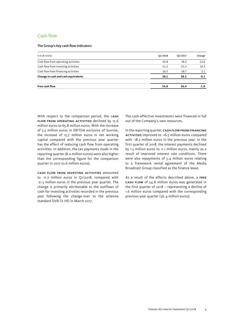#### Cash flow

#### The Group's key cash flow indicators

| In EUR million                      | Q1/2018 | Q1/2017 | Change  |
|-------------------------------------|---------|---------|---------|
| Cash flow from operating activities | 65.8    | 78.3    | $-12.6$ |
| Cash flow from investing activities | $-11.2$ | $-21.5$ | 10.3    |
| Cash flow from financing activities | $-16.5$ | $-18.7$ | 2.2     |
| Change in cash and cash equivalents | 38.1    | 38.2    | $-0.1$  |
| Free cash flow                      | 54.8    | 56.4    | -1.6    |

With respect to the comparison period, the CASH flow from operating activities declined by 12.6 million euros to 65.8 million euros. With the increase of 5.5 million euros in EBITDA exclusive of Sunrise, the increase of 15.7 million euros in net working capital compared with the previous year quarter has the effect of reducing cash flow from operating activities. In addition, the tax payments made in the reporting quarter (8.0 million euros) were also higher than the corresponding figure for the comparison quarter in 2017 (0.6 million euros).

Cash flow from investing activities amounted to -11.2 million euros in Q1/2018, compared with -21.5 million euros in the previous year quarter. The change is primarily attributable to the outflows of cash for investing activities recorded in the previous year following the change-over to the antenna standard DVB-T2 HD in March 2017.

The cash-effective investments were financed in full out of the Company's own resources.

In the reporting quarter, CASH FLOW FROM FINANCING activities improved to -16.5 million euros compared with -18.7 million euros in the previous year. In the first quarter of 2018, the interest payments declined by 1.5 million euros to 11.1 million euros, mainly as a result of improved interest rate conditions. There were also repayments of 5.4 million euros relating to a framework rental agreement of the Media Broadcast Group classified as the finance lease.

As a result of the effects described above, a free cash flow of 54.8 million euros was generated in the first quarter of 2018 – representing a decline of 1.6 million euros compared with the corresponding previous year quarter (56.4 million euros).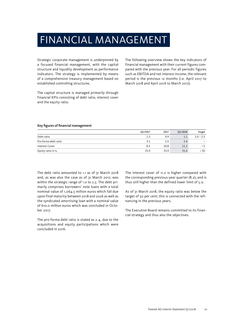## FINANCIAL MANAGEMENT

Strategic corporate management is underpinned by a focused financial management, with the capital structure and liquidity development as performance indicators. The strategy is implemented by means of a comprehensive treasury management based on established controlling structures.

The capital structure is managed primarily through financial KPIs consisting of debt ratio, interest cover and the equity ratio.

The following overview shows the key indicators of financial management with their current figures compared with the previous year. For all periodic figures such as EBITDA and net interest income, the relevant period is the previous 12 months (i.e. April 2017 to March 2018 and April 2016 to March 2017).

#### Key figures of financial management

|                      | Q1/2017 | 2017 | Q1/2018 | Target                   |
|----------------------|---------|------|---------|--------------------------|
| Debt ratio           | 1.3     | 0.9  | 1.1     | $1.0 - 2.5$              |
| Pro forma debt ratio | 3.1     |      | 2.4     | $\overline{\phantom{a}}$ |
| Interest Cover       | 8.2     | 10.8 | 11.2    | > 5                      |
| Equity ratio in %    | 33.9    | 33.9 | 31.6    | 50ء                      |

The debt ratio amounted to 1.1 as of 31 March 2018 and, as was also the case as of 31 March 2017, was within the strategic range of 1.0 to 2.5. The debt primarily comprises borrowers' note loans with a total nominal value of 1,064.5 million euros which fall due upon final maturity between 2018 and 2026 as well as the syndicated amortising loan with a nominal value of 610.0 million euros which was concluded in October 2017.

The pro-forma debt ratio is stated as 2.4, due to the acquisitions and equity participations which were concluded in 2016.

The interest cover of 11.2 is higher compared with the corresponding previous-year quarter (8.2), and is thus still higher than the defined lower limit of 5.0.

As of 31 March 2018, the equity ratio was below the target of 50 per cent; this is connected with the refinancing in the previous years.

The Executive Board remains committed to its financial strategy and thus also the objectives.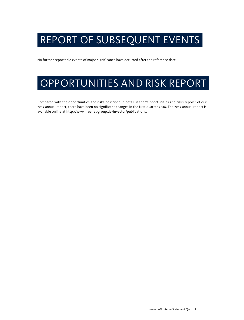## REPORT OF SUBSEQUENT EVENTS

No further reportable events of major significance have occurred after the reference date.

## OPPORTUNITIES AND RISK REPORT

Compared with the opportunities and risks described in detail in the "Opportunities and risks report" of our 2017 annual report, there have been no significant changes in the first quarter 2018. The 2017 annual report is available online at http://www.freenet-group.de/investor/publications.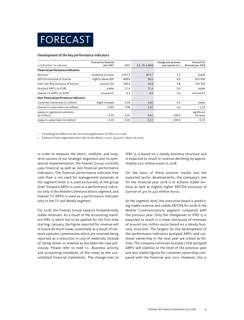

#### Development of the key performance indicators

| In EUR million / as indicated                              | <b>Forecast for financial</b><br>year 2017 | 2017    | $1.1 - 31.3.2018$ | Change over previous<br>year quarter in % | Forecast for<br>financial year 2018 |
|------------------------------------------------------------|--------------------------------------------|---------|-------------------|-------------------------------------------|-------------------------------------|
| <b>Financial performance indicators</b>                    |                                            |         |                   |                                           |                                     |
| $Re$ venue $1$                                             | moderate increase                          | 3.507.3 | 873.7             | 4.3                                       | stable                              |
| <b>EBITDA</b> exclusive of Sunrise                         | slightly above 410                         | 408.0   | 96.6              | 6.0                                       | 410-430                             |
| Free cash flow exclusive of Sunrise                        | around 310                                 | 308.4   | 54.8              | $-2.8$                                    | 290-310                             |
| Postpaid ARPU (in EUR)                                     | stable                                     | 21.4    | 21.4              | 0.0                                       | stable                              |
| freenet TV-ARPU (in EUR)                                   | around 4.5                                 | 4.3     | 4.6               | n/a                                       | around 4.5                          |
| Non-financial performance indicators                       |                                            |         |                   |                                           |                                     |
| Customer Ownership (in million)                            | slight increase                            | 9.59    | 9.60              | 0.4                                       | stable                              |
| freenet TV subscribers (in million)                        | > 0.80                                     | 0.98    | 1.02              | n/a                                       | >1.20                               |
| waipu.tv registered customers<br>(in million) <sup>2</sup> | > 0.50                                     | 0.46    | 0.61              | >100.0                                    | significant<br>increase             |
| waipu.tv subscribers (in million)                          | > 0.10                                     | 0.10    | 0.13              | >100.0                                    | > 0.25                              |

1 Excluding the effects of the first-time application of IFRS 15 in 2018.

2 Exlusive of pre-registered users (Q1/2018: about 71,000, Q4/2017: about 76,000).

In order to measure the short-, medium- and longterm success of our strategic alignment and its operational implementation, the freenet Group currently uses financial as well as non-financial performance indicators: The financial performance indicator free cash flow is not used for management purposes at the segment level; it is used exclusively at the group level. Postpaid ARPU is used as a performance indicator only in the Mobile Communications segment, and freenet TV ARPU is used as a performance indicator only in the TV and Media segment.

For 2018, the freenet Group expects fundamentally stable revenues. As a result of the accounting standard IFRS 15 which has to be applied for the first time starting 1 January, the figure reported for revenue will in future be much lower, essentially as a result of network operator commissions which are received being reported as a reduction in cost of materials, instead of, being shown in revenue as has been the case previously. Please refer to note 1.1., Business activity and accounting standards, of the notes to the consolidated financial statements. The change-over to IFRS 15 is based on a steady business structure and is expected to result in revenue declining by approximately 700 million euros in 2018.

On the basis of these positive results and the expected sector developments, the company's aim for the financial year 2018 is to achieve stable revenue as well as slightly higher EBITDA exclusive of Sunrise of 410 to 430 million euros.

At the segment level, the executive board is predicting stable revenue and stable EBITDA for 2018 in the Mobile Communications segment compared with the previous year. Only the changeover to IFRS 15 is expected to result in a lower disclosure of revenues of around 700 million euros based on a steady business structure. The targets for the development of the performance indicators postpaid ARPU and customer ownership in the next year are stated as follows: The company continues to expect that postpaid ARPU will stabilise at the level of the previous year and also stable figures for customer ownership compared with the financial year 2017. However, this is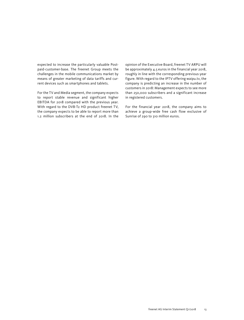expected to increase the particularly valuable Postpaid-customer-base. The freenet Group meets the challenges in the mobile communications market by means of greater marketing of data tariffs and current devices such as smartphones and tablets.

For the TV and Media segment, the company expects to report stable revenue and significant higher EBITDA for 2018 compared with the previous year. With regard to the DVB-T2 HD product freenet TV, the company expects to be able to report more than 1.2 million subscribers at the end of 2018. In the opinion of the Executive Board, freenet TV ARPU will be approximately 4.5 euros in the financial year 2018, roughly in line with the corresponding previous-year figure. With regard to the IPTV offering waipu.tv, the company is predicting an increase in the number of customers in 2018: Management expects to see more than 250,000 subscribers and a significant increase in registered customers.

For the financial year 2018, the company aims to achieve a group-wide free cash flow exclusive of Sunrise of 290 to 310 million euros.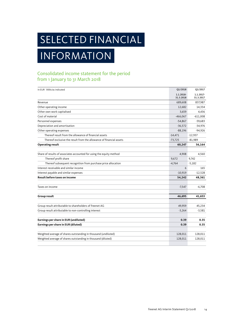# SELECTED FINANCIAL

## INFORMATION

## Consolidated income statement for the period from 1 January to 31 March 2018

| In EUR `000s/as indicated                                            | Q1/2018                | Q1/2017                |
|----------------------------------------------------------------------|------------------------|------------------------|
|                                                                      | 1.1.2018-<br>31.3.2018 | 1.1.2017-<br>31.3.2017 |
| Revenue                                                              | 689,608                | 837,987                |
| Other operating income                                               | 12,682                 | 14,334                 |
| Other own work capitalised                                           | 3,659                  | 4,436                  |
| Cost of material                                                     | $-466,067$             | $-611,008$             |
| Personnel expenses                                                   | $-54,867$              | $-59,683$              |
| Depreciation and amortisation                                        | $-36,572$              | $-34,976$              |
| Other operating expenses                                             | $-88,196$              | $-94,926$              |
| Thereof result from the allowance of financial assets                | $-14,471$              | $-12,937$              |
| Thereof exclusive the result from the allowance of financial assets  | $-73,725$              | $-81,989$              |
| <b>Operating result</b>                                              | 60,247                 | 56,164                 |
|                                                                      |                        |                        |
| Share of results of associates accounted for using the equity method | 4,908                  | 4,560                  |
| Thereof profit share                                                 | 9,672                  | 9,742                  |
| Thereof subsequent recognition from purchase price allocation        | $-4,764$               | $-5,182$               |
| Interest receivable and similar income                               | 6                      | 165                    |
| Interest payable and similar expenses                                | $-10,919$              | $-12,528$              |
| Result before taxes on income                                        | 54,242                 | 48,361                 |
| Taxes on income                                                      | $-7,547$               | $-6,708$               |
| Group result                                                         | 46,695                 | 41,653                 |
| Group result attributable to shareholders of freenet AG              | 49,959                 | 45,234                 |
| Group result attributable to non-controlling interest                | $-3,264$               | $-3,581$               |
| Earnings per share in EUR (undiluted)                                | 0.39                   | 0.35                   |
| Earnings per share in EUR (diluted)                                  | 0.39                   | 0.35                   |
| Weighted average of shares outstanding in thousand (undiluted)       | 128,011                | 128,011                |
| Weighted average of shares outstanding in thousand (diluted)         | 128,011                | 128,011                |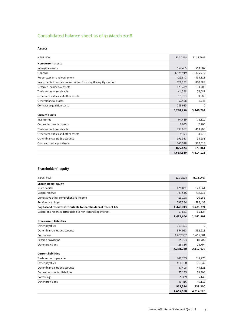## Consolidated balance sheet as of 31 March 2018

#### Assets

| In EUR '000s                                                    | 31.3.2018 | 31.12.2017 |
|-----------------------------------------------------------------|-----------|------------|
| Non-current assets                                              |           |            |
| Intangible assets                                               | 552,455   | 563,507    |
| Goodwill                                                        | 1,379,919 | 1,379,919  |
| Property, plant and equipment                                   | 421,847   | 435,818    |
| Investments in associates accounted for using the equity method | 821,252   | 810,984    |
| Deferred income tax assets                                      | 173,439   | 153,508    |
| Trade accounts receivable                                       | 44,568    | 79,081     |
| Other receivables and other assets                              | 15,383    | 9,500      |
| Other financial assets                                          | 97,408    | 7,945      |
| Contract acquisition costs                                      | 283.985   | $\Omega$   |
|                                                                 | 3,790,256 | 3,440,262  |
| <b>Current assets</b>                                           |           |            |
| Inventories                                                     | 94,489    | 76,310     |
| Current income tax assets                                       | 2,085     | 2,205      |
| Trade accounts receivable                                       | 217,002   | 453,700    |
| Other receivables and other assets                              | 9,393     | 4,572      |
| Other financial trade accounts                                  | 191,537   | 14,258     |
| Cash and cash equivalents                                       | 360,918   | 322,816    |
|                                                                 | 875,424   | 873,861    |
|                                                                 | 4,665,680 | 4,314,123  |

### Shareholders` equity

| In EUR `000s                                                    | 31.3.2018 | 31.12.2017  |
|-----------------------------------------------------------------|-----------|-------------|
| Shareholders' equity                                            |           |             |
| Share capital                                                   | 128,061   | 128,061     |
| Capital reserve                                                 | 737,536   | 737,536     |
| Cumulative other comprehensive income                           | $-13,198$ | $-20,256$   |
| Retained earnings                                               | 593,344   | 586,433     |
| Capital and reserves attributable to shareholders of freenet AG | 1,445,743 | 1.431,774   |
| Capital and reserves attributable to non-controlling interest   | 27,863    | 31,127      |
|                                                                 | 1,473,606 | 1.462,901   |
| <b>Non-current liabilities</b>                                  |           |             |
| Other payables                                                  | 103,391   | $\mathbf 0$ |
| Other financial trade accounts                                  | 354,953   | 332,218     |
| <b>Borrowings</b>                                               | 1,667,307 | 1,666,001   |
| Pension provisions                                              | 85,793    | 87,909      |
| Other provisions                                                | 26,836    | 26,794      |
|                                                                 | 2,238,280 | 2,112,922   |
| <b>Current liabilities</b>                                      |           |             |
| Trade accounts payable                                          | 401,239   | 517,276     |
| Other payables                                                  | 411,180   | 81,842      |
| Other financial trade accounts                                  | 57,405    | 49,121      |
| Current income tax liabilities                                  | 35,185    | 33,806      |
| Borrowings                                                      | 5,369     | 7,145       |
| Other provisions                                                | 43,416    | 49,110      |
|                                                                 | 953,794   | 738,300     |
|                                                                 | 4,665,680 | 4,314,123   |
|                                                                 |           |             |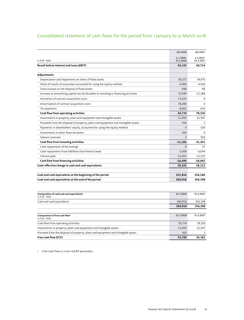## Consolidated statement of cash flows for the period from 1 January to 31 March 2018

|                                                                                      | Q1/2018        | Q1/2017        |
|--------------------------------------------------------------------------------------|----------------|----------------|
|                                                                                      | 1.1.2018-      | 1.1.2017-      |
| In EUR `000s                                                                         | 31.3.2018      | 31.3.2017      |
| <b>Result before interest and taxes (EBIT)</b>                                       | 65,155         | 60,724         |
| Adjustments                                                                          |                |                |
| Depreciation and impairment on items of fixed assets                                 | 36,572         | 34,976         |
| Share of results of associates accounted for using the equity method                 | $-4,908$       | -4,560         |
| Gains/Losses on the disposal of fixed assets                                         | $-698$         | 88             |
| Increase in networking capital not attributable to investing or financing activities | $-27,949$      | $-12.288$      |
| Activation of contract acquisition costs                                             | $-72,676$      | $\mathbf 0$    |
| Amortisation of contract acquisition costs                                           | 78,280         | $\Omega$       |
| Tax payments                                                                         | $-8,002$       | $-614$         |
| Cash flow from operating activities                                                  | 65,774         | 78,326         |
| Investments in property, plant and equipment and intangible assets                   | $-11,905$      | $-21,947$      |
| Proceeds from the disposal of property, plant and equipment and intangible assets    | 920            | $\overline{2}$ |
| Payments in shareholders' equity, accounted for using the equity method              | $\overline{0}$ | $-100$         |
| Investments in other financial assets                                                | $-200$         | $\Omega$       |
| Interest received                                                                    | 3              | 594            |
| Cash flow from investing activities                                                  | $-11,182$      | $-21,451$      |
| Cash repayments of borrowings                                                        | $\Omega$       | $-37$          |
| Cash repayments from liabilities from finance lease                                  | $-5,438$       | $-6,094$       |
| Interest paid                                                                        | $-11,052$      | $-12,532$      |
| Cash flow from financing activities                                                  | $-16,490$      | $-18,663$      |
| Cash-effective change in cash and cash equivalents                                   | 38,102         | 38,212         |
|                                                                                      |                |                |
| Cash and cash equivalents at the beginning of the period                             | 322,816        | 318,186        |
| Cash and cash equivalents at the end of the period                                   | 360,918        | 356,398        |
| Composition of cash and cash equivalents<br>In EUR `000s                             | 31.3.2018      | 31.3.2017      |
| Cash and cash equivalents                                                            | 360,918        | 356,398        |
|                                                                                      | 360,918        | 356,398        |
|                                                                                      |                |                |
| Composition of free cash flow <sup>1</sup><br>In EUR `000s                           | 31.3.2018      | 31.3.2017      |
| Cash flow from operating activities                                                  | 65,774         | 78,326         |
| Investments in property, plant and equipment and intangible assets                   | $-11,905$      | $-21,947$      |

Proceeds from the disposal of property, plant and equipment and intangible assets 920 920 2 **Free cash flow (FCF) 54,789 56,381**

1 Free cash flow is a non-GAAP parameter.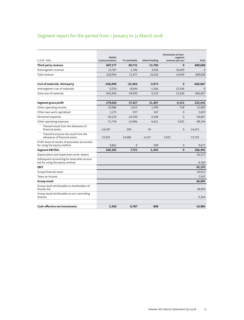## Segment report for the period from 1 January to 31 March 2018

| In EUR `000s                                                                    | Mobile<br>Communications | <b>TV and Media</b> | Other/Holding | <b>Elimination of inter-</b><br>segment<br>revenue and cost | Total        |
|---------------------------------------------------------------------------------|--------------------------|---------------------|---------------|-------------------------------------------------------------|--------------|
| Third-party revenue                                                             | 607,177                  | 69,731              | 12,700        | $\Omega$                                                    | 689,608      |
| Intersegment revenue                                                            | 13,787                   | 1,746               | 3,926         | $-19,459$                                                   | $\Omega$     |
| Total revenue                                                                   | 620,964                  | 71,477              | 16,626        | $-19,459$                                                   | 689,608      |
| Cost of materials, third party                                                  | -436,690                 | $-25,404$           | $-3,973$      | $\mathbf{0}$                                                | $-466,067$   |
| Intersegment cost of materials                                                  | $-5,254$                 | $-8,646$            | $-1,246$      | 15,146                                                      | $\mathbf{0}$ |
| Total cost of materials                                                         | $-441,944$               | $-34,050$           | $-5,219$      | 15,146                                                      | $-466,067$   |
| Segment gross profit                                                            | 179,020                  | 37,427              | 11,407        | $-4,313$                                                    | 223,541      |
| Other operating income                                                          | 10,986                   | 1,015               | 1,399         | $-718$                                                      | 12,682       |
| Other own work capitalised                                                      | 2,175                    | 937                 | 547           | $\Omega$                                                    | 3,659        |
| Personnel expenses                                                              | $-30,129$                | $-16,540$           | $-8,198$      | $\Omega$                                                    | $-54,867$    |
| Other operating expenses                                                        | $-71,730$                | $-15,086$           | $-6,411$      | 5,031                                                       | $-88,196$    |
| Thereof result from the allowance of<br>financial assets                        | $-14,297$                | $-100$              | $-74$         | $\mathbf{0}$                                                | $-14,471$    |
| Thereof exclusive the result from the<br>allowance of financial assets          | $-57,433$                | $-14,986$           | $-6,337$      | 5,031                                                       | $-73,725$    |
| Profit share of results of associates accounted<br>for using the equity method  | 9.861                    | $\mathbf{0}$        | $-189$        | $\mathbf{0}$                                                | 9.672        |
| <b>Segment EBITDA</b>                                                           | 100,183                  | 7.753               | $-1.445$      | $\mathbf 0$                                                 | 106,491      |
| Depreciation and impairment write -downs                                        |                          |                     |               |                                                             | $-36,572$    |
| Subsequent accounting for associates accoun-<br>ted for using the equity method |                          |                     |               |                                                             | $-4,764$     |
| <b>EBIT</b>                                                                     |                          |                     |               |                                                             | 65,155       |
| Group financial result                                                          |                          |                     |               |                                                             | $-10,913$    |
| Taxes on income                                                                 |                          |                     |               |                                                             | $-7,547$     |
| Group result                                                                    |                          |                     |               |                                                             | 46,695       |
| Group result attributable to shareholders of<br>freenet AG                      |                          |                     |               |                                                             | 49,959       |
| Group result attributable to non-controlling<br>interest                        |                          |                     |               |                                                             | $-3,264$     |
| Cash-effective net investments                                                  | 3,300                    | 6,787               | 898           |                                                             | 10,985       |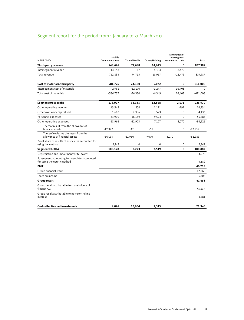## Segment report for the period from 1 January to 31 March 2017

| In FUR `000s                                                                  | Mobile<br>Communications | TV and Media | Other/Holding | <b>Elimination of</b><br>intersegment<br>revenue and costs | Total      |
|-------------------------------------------------------------------------------|--------------------------|--------------|---------------|------------------------------------------------------------|------------|
| Third-party revenue                                                           | 748.676                  | 74.698       | 14,613        | 0                                                          | 837,987    |
| Intersegment revenue                                                          | 14,158                   | 17           | 4,304         | $-18,479$                                                  | 0          |
| Total revenue                                                                 | 762,834                  | 74.715       | 18,917        | $-18.479$                                                  | 837,987    |
| Cost of materials, third party                                                | $-581,776$               | $-24,160$    | $-5,072$      | 0                                                          | $-611,008$ |
| Intersegment cost of materials                                                | $-2,961$                 | $-12,170$    | $-1,277$      | 16,408                                                     | 0          |
| Total cost of materials                                                       | $-584,737$               | $-36,330$    | $-6,349$      | 16,408                                                     | $-611,008$ |
| Segment gross profit                                                          | 178,097                  | 38,385       | 12,568        | $-2,071$                                                   | 226,979    |
| Other operating income                                                        | 13,548                   | 674          | 1,111         | -999                                                       | 14,334     |
| Other own work capitalised                                                    | 1,607                    | 2,306        | 523           | $\mathbf 0$                                                | 4,436      |
| Personnel expenses                                                            | $-33,900$                | $-16,189$    | $-9,594$      | $\Omega$                                                   | $-59,683$  |
| Other operating expenses                                                      | $-68,966$                | $-21,903$    | $-7,127$      | 3.070                                                      | $-94,926$  |
| Thereof result from the allowance of<br>financial assets                      | $-12,927$                | 47           | $-57$         | $\mathbf 0$                                                | $-12,937$  |
| Thereof exclusive the result from the<br>allowance of financial assets        | $-56,039$                | $-21,950$    | $-7.070$      | 3,070                                                      | $-81,989$  |
| Profit share of results of associates accounted for<br>using the method       | 9,742                    | $\Omega$     | 0             | $\mathbf 0$                                                | 9.742      |
| <b>Segment EBITDA</b>                                                         | 100,128                  | 3,273        | $-2,519$      | $\Omega$                                                   | 100,882    |
| Depreciation and impairment write-downs                                       |                          |              |               |                                                            | $-34,976$  |
| Subsequent accounting for associates accounted<br>for using the equity method |                          |              |               |                                                            | $-5,182$   |
| <b>EBIT</b>                                                                   |                          |              |               |                                                            | 60,724     |
| Group financial result                                                        |                          |              |               |                                                            | $-12,363$  |
| Taxes on income                                                               |                          |              |               |                                                            | $-6,708$   |
| Group result                                                                  |                          |              |               |                                                            | 41,653     |
| Group result attributable to shareholders of<br>freenet AG                    |                          |              |               |                                                            | 45,234     |
| Group result attributable to non-controlling<br>interest                      |                          |              |               |                                                            | $-3,581$   |
| <b>Cash-effective net investments</b>                                         | 4,026                    | 16,604       | 1,315         |                                                            | 21,945     |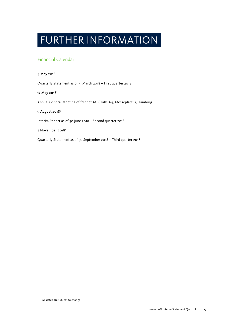## FURTHER INFORMATION

### Financial Calendar

#### 4 May 2018<sup>1</sup>

Quarterly Statement as of 31 March 2018 – First quarter 2018

#### 17 May 2018<sup>1</sup>

Annual General Meeting of freenet AG (Halle A4, Messeplatz 1), Hamburg

#### 9 August 2018<sup>1</sup>

Interim Report as of 30 June 2018 – Second quarter 2018

#### 8 November 2018<sup>1</sup>

Quarterly Statement as of 30 September 2018 – Third quarter 2018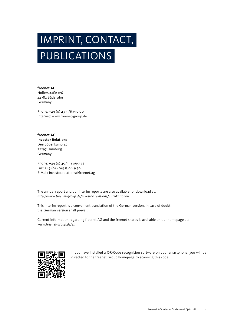# PUBLICATIONS IMPRINT, CONTACT,

**freenet AG** Hollerstraße 126 24782 Büdelsdorf Germany

Phone: +49 (0) 43 31/69-10 00 Internet: www.freenet-group.de

**freenet AG Investor Relations** Deelbögenkamp 4c 22297 Hamburg Germany

Phone: +49 (0) 40/5 13 06-7 78 Fax: +49 (0) 40/5 13 06-9 70 E-Mail: investor.relations@freenet.ag

The annual report and our interim reports are also available for download at: *http://www.freenet-group.de/investor-relations/publikationen*

This interim report is a convenient translation of the German version. In case of doubt, the German version shall prevail.

Current information regarding freenet AG and the freenet shares is available on our homepage at: *www.freenet-group.de/en*



If you have installed a QR-Code recognition software on your smartphone, you will be directed to the freenet Group homepage by scanning this code.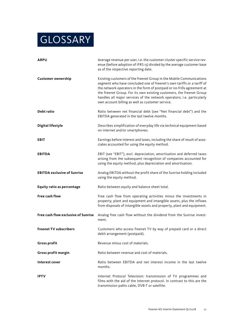## **GLOSSARY**

| <b>ARPU</b>                         | Average revenue per user, i.e. the customer-cluster specific service rev-<br>enue (before adoption of IFRS 15) divided by the average customer base<br>as of the respective reporting date.                                                                                                                                                                                                                                     |
|-------------------------------------|---------------------------------------------------------------------------------------------------------------------------------------------------------------------------------------------------------------------------------------------------------------------------------------------------------------------------------------------------------------------------------------------------------------------------------|
| <b>Customer ownership</b>           | Existing customers of the freenet Group in the Mobile Communications<br>segment who have concluded one of freenet's own tariffs or a tariff of<br>the network operators in the form of postpaid or no-frills agreement at<br>the freenet Group. For its own existing customers, the freenet Group<br>handles all major services of the network operators; i.e. particularly<br>own account billing as well as customer service. |
| Debt ratio                          | Ratio between net financial debt (see "Net financial debt") and the<br>EBITDA generated in the last twelve months.                                                                                                                                                                                                                                                                                                              |
| <b>Digital lifestyle</b>            | Describes simplification of everyday life via technical equipment based<br>on internet and/or smartphones.                                                                                                                                                                                                                                                                                                                      |
| EBIT                                | Earnings before interest and taxes, including the share of result of asso-<br>ciates accounted for using the equity method.                                                                                                                                                                                                                                                                                                     |
| <b>EBITDA</b>                       | EBIT (see "EBIT"), excl. depreciation, amortisation and deferred taxes<br>arising from the subsequent recognition of companies accounted for<br>using the equity method, plus depreciation and amortisation.                                                                                                                                                                                                                    |
| <b>EBITDA exclusive of Sunrise</b>  | Analog EBITDA without the profit share of the Sunrise holding included<br>using the equity method.                                                                                                                                                                                                                                                                                                                              |
| <b>Equity ratio as percentage</b>   | Ratio between equity and balance sheet total.                                                                                                                                                                                                                                                                                                                                                                                   |
| <b>Free cash flow</b>               | Free cash flow from operating activities minus the investments in<br>property, plant and equipment and intangible assets, plus the inflows<br>from disposals of intangible assets and property, plant and equipment.                                                                                                                                                                                                            |
| Free cash flow exclusive of Sunrise | Analog free cash flow without the dividend from the Sunrise invest-<br>ment.                                                                                                                                                                                                                                                                                                                                                    |
| freenet TV subscribers              | Customers who access freenet TV by way of prepaid card or a direct<br>debit arrangement (postpaid).                                                                                                                                                                                                                                                                                                                             |
| <b>Gross profit</b>                 | Revenue minus cost of materials.                                                                                                                                                                                                                                                                                                                                                                                                |
| Gross profit margin                 | Ratio between revenue and cost of materials.                                                                                                                                                                                                                                                                                                                                                                                    |
| Interest cover                      | Ratio between EBITDA and net interest income in the last twelve<br>months.                                                                                                                                                                                                                                                                                                                                                      |
| <b>IPTV</b>                         | Internet Protocol Television: transmission of TV programmes and<br>films with the aid of the Internet protocol. In contrast to this are the<br>transmission paths cable, DVB-T or satellite.                                                                                                                                                                                                                                    |